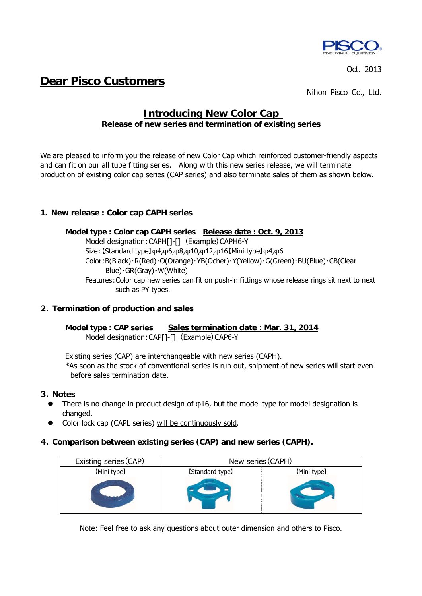

Oct. 2013

# **Dear Pisco Customers**

Nihon Pisco Co., Ltd.

# **Introducing New Color Cap Release of new series and termination of existing series**

We are pleased to inform you the release of new Color Cap which reinforced customer-friendly aspects and can fit on our all tube fitting series. Along with this new series release, we will terminate production of existing color cap series (CAP series) and also terminate sales of them as shown below.

# **1.New release : Color cap CAPH series**

#### **Model type : Color cap CAPH series Release date : Oct. 9, 2013**

Model designation: CAPH[]-[] (Example) CAPH6-Y Size:【Standard type】φ4,φ6,φ8,φ10,φ12,φ16【Mini type】φ4,φ6 Color:B(Black)・R(Red)・O(Orange)・YB(Ocher)・Y(Yellow)・G(Green)・BU(Blue)・CB(Clear Blue)・GR(Gray)・W(White) Features:Color cap new series can fit on push-in fittings whose release rings sit next to next such as PY types.

#### **2.Termination of production and sales**

**Model type : CAP series Sales termination date : Mar. 31, 2014** Model designation: CAP[]-[] (Example) CAP6-Y

Existing series (CAP) are interchangeable with new series (CAPH).

\*As soon as the stock of conventional series is run out, shipment of new series will start even before sales termination date.

#### **3.Notes**

- There is no change in product design of φ16, but the model type for model designation is changed.
- Color lock cap (CAPL series) will be continuously sold.

#### **4.Comparison between existing series (CAP) and new series (CAPH).**

| Existing series (CAP) | New series (CAPH) |             |  |  |
|-----------------------|-------------------|-------------|--|--|
| [Mini type]           | [Standard type]   | [Mini type] |  |  |
|                       |                   |             |  |  |

Note: Feel free to ask any questions about outer dimension and others to Pisco.